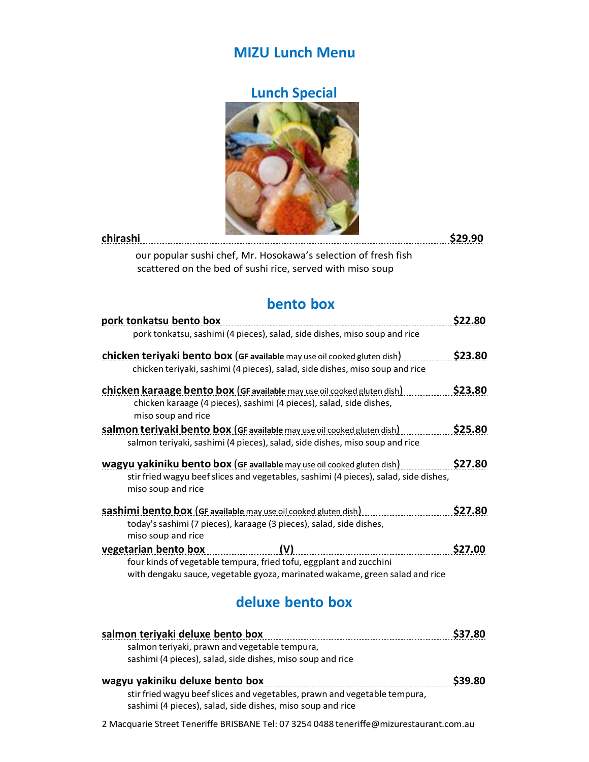### **MIZU Lunch Menu**

## **Lunch Special**



| chirashi |                                                                | \$29.90 |
|----------|----------------------------------------------------------------|---------|
|          | our popular sushi chef, Mr. Hosokawa's selection of fresh fish |         |
|          | scattered on the bed of sushi rice, served with miso soup      |         |

## **bento box**

| pork tonkatsu bento box                                                              | S22.80  |
|--------------------------------------------------------------------------------------|---------|
| pork tonkatsu, sashimi (4 pieces), salad, side dishes, miso soup and rice            |         |
| <b>chicken teriyaki bento box (GF available</b> may use oil cooked gluten dish)      | \$23.80 |
| chicken teriyaki, sashimi (4 pieces), salad, side dishes, miso soup and rice         |         |
| <b>chicken karaage bento box (GF available may use oil cooked gluten dish)</b>       | \$23.80 |
| chicken karaage (4 pieces), sashimi (4 pieces), salad, side dishes,                  |         |
| miso soup and rice                                                                   |         |
| salmon teriyaki bento box (GF available may use oil cooked gluten dish)              | \$25.80 |
| salmon teriyaki, sashimi (4 pieces), salad, side dishes, miso soup and rice          |         |
| wagyu yakiniku bento box (GF available may use oil cooked gluten dish)               | \$27.80 |
| stir fried wagyu beef slices and vegetables, sashimi (4 pieces), salad, side dishes, |         |
| miso soup and rice                                                                   |         |
| <b>sashimi bento box (GF available</b> may use oil cooked gluten dish)               | \$27.80 |
| today's sashimi (7 pieces), karaage (3 pieces), salad, side dishes,                  |         |
| miso soup and rice                                                                   |         |
| vegetarian bento box                                                                 | \$27.00 |
| four kinds of vegetable tempura, fried tofu, eggplant and zucchini                   |         |
| with dengaku sauce, vegetable gyoza, marinated wakame, green salad and rice          |         |
|                                                                                      |         |

## **deluxe bento box**

| salmon teriyaki deluxe bento box                                          | <b>S37.80</b> |
|---------------------------------------------------------------------------|---------------|
| salmon terivaki, prawn and vegetable tempura,                             |               |
| sashimi (4 pieces), salad, side dishes, miso soup and rice                |               |
| wagyu yakiniku deluxe bento box                                           | <b>S39.80</b> |
| stir fried wagyu beef slices and vegetables, prawn and vegetable tempura, |               |

2 Macquarie Street Teneriffe BRISBANE Tel: 07 3254 0488 [teneriffe@mizurestaurant.com.au](mailto:teneriffe@mizurestaurant.com.au)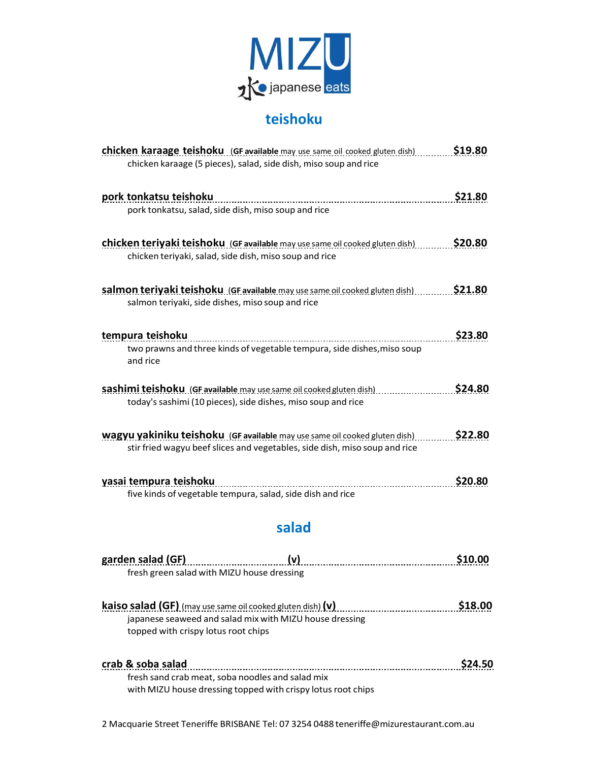

## **teishoku**

| <b>chicken karaage teishoku</b> (GF available may use same oil cooked gluten dish) | \$19.80 |
|------------------------------------------------------------------------------------|---------|
| chicken karaage (5 pieces), salad, side dish, miso soup and rice                   |         |
|                                                                                    |         |
| pork tonkatsu teishoku                                                             | \$21.80 |
|                                                                                    |         |
| pork tonkatsu, salad, side dish, miso soup and rice                                |         |
|                                                                                    |         |
| chicken teriyaki teishoku (GF available may use same oil cooked gluten dish)       | \$20.80 |
| chicken teriyaki, salad, side dish, miso soup and rice                             |         |
|                                                                                    |         |
| salmon teriyaki teishoku (GF available may use same oil cooked gluten dish)        | \$21.80 |
| salmon teriyaki, side dishes, miso soup and rice                                   |         |
|                                                                                    |         |
| tempura teishoku                                                                   | \$23.80 |
| two prawns and three kinds of vegetable tempura, side dishes, miso soup            |         |
| and rice                                                                           |         |
|                                                                                    |         |
| sashimi teishoku (GF available may use same oil cooked gluten dish)                | \$24.80 |
| today's sashimi (10 pieces), side dishes, miso soup and rice                       |         |
|                                                                                    |         |
| <b>wagyu yakiniku teishoku</b> (GF available may use same oil cooked gluten dish)  | \$22.80 |
| stir fried wagyu beef slices and vegetables, side dish, miso soup and rice         |         |
|                                                                                    |         |
| yasai tempura teishoku                                                             | \$20.80 |
| five kinds of vegetable tempura, salad, side dish and rice                         |         |
|                                                                                    |         |
|                                                                                    |         |
| salad                                                                              |         |
|                                                                                    |         |

| garden salad (GF)                                                   | (v)                                                          | \$10.00 |
|---------------------------------------------------------------------|--------------------------------------------------------------|---------|
| fresh green salad with MIZU house dressing                          |                                                              |         |
|                                                                     |                                                              |         |
| <b>kaiso salad (GF)</b> (may use same oil cooked gluten dish) $(v)$ |                                                              | \$18.00 |
|                                                                     | japanese seaweed and salad mix with MIZU house dressing      |         |
| topped with crispy lotus root chips                                 |                                                              |         |
|                                                                     |                                                              |         |
| crab & soba salad                                                   |                                                              | \$24.50 |
| fresh sand crab meat, soba noodles and salad mix                    |                                                              |         |
|                                                                     | with MIZU house dressing topped with crispy lotus root chips |         |

2 Macquarie Street Teneriffe BRISBANE Tel: 07 3254 0488 [teneriffe@mizurestaurant.com.au](mailto:teneriffe@mizurestaurant.com.au)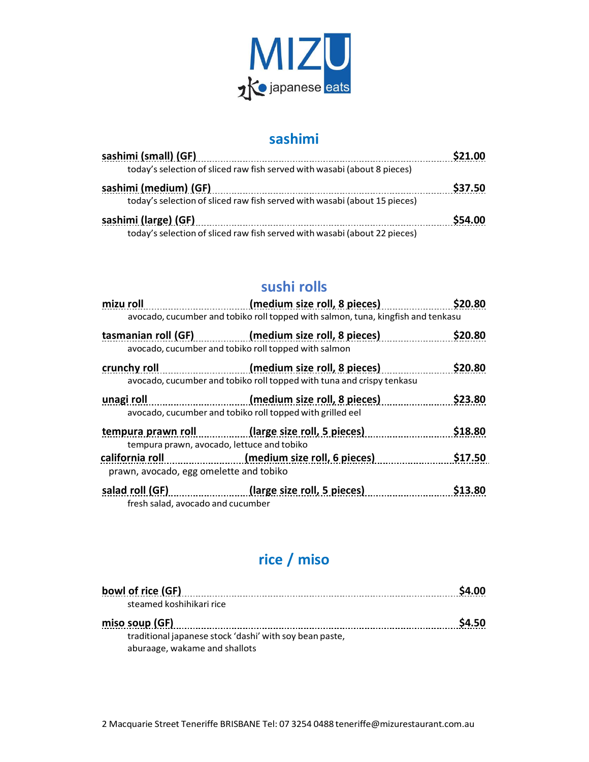

#### **sashimi**

| sashimi (small) (GF)                                                      | \$21.00 |
|---------------------------------------------------------------------------|---------|
| today's selection of sliced raw fish served with wasabi (about 8 pieces)  |         |
| sashimi (medium) (GF)                                                     | \$37.50 |
| today's selection of sliced raw fish served with wasabi (about 15 pieces) |         |
| sashimi (large) (GF)                                                      | \$54.00 |
| today's selection of sliced raw fish served with wasabi (about 22 pieces) |         |

#### **sushi rolls**

| mizu roll                                  | (medium size roll, 8 pieces)                                                     | \$20.80       |
|--------------------------------------------|----------------------------------------------------------------------------------|---------------|
|                                            | avocado, cucumber and tobiko roll topped with salmon, tuna, kingfish and tenkasu |               |
|                                            | tasmanian roll (GF) (medium size roll, 8 pieces)                                 | \$20.80       |
|                                            | avocado, cucumber and tobiko roll topped with salmon                             |               |
| crunchy roll                               | (medium size roll, 8 pieces)                                                     | \$20.80       |
|                                            | avocado, cucumber and tobiko roll topped with tuna and crispy tenkasu            |               |
| unagi roll                                 | (medium size roll, 8 pieces)                                                     | \$23.80       |
|                                            | avocado, cucumber and tobiko roll topped with grilled eel                        |               |
|                                            | tempura prawn roll (large size roll, 5 pieces)                                   | \$18.80       |
| tempura prawn, avocado, lettuce and tobiko |                                                                                  |               |
| california roll                            | (medium size roll, 6 pieces)                                                     | \$17.50       |
| prawn, avocado, egg omelette and tobiko    |                                                                                  |               |
|                                            | salad roll (GF) (large size roll, 5 pieces)                                      | <b>S13.80</b> |
| fresh salad, avocado and cucumber          |                                                                                  |               |

# **rice / miso**

| bowl of rice (GF)                                       | \$4.00 |
|---------------------------------------------------------|--------|
| steamed koshihikari rice                                |        |
| miso soup (GF)                                          | \$4.50 |
| traditional japanese stock 'dashi' with soy bean paste, |        |
| aburaage, wakame and shallots                           |        |